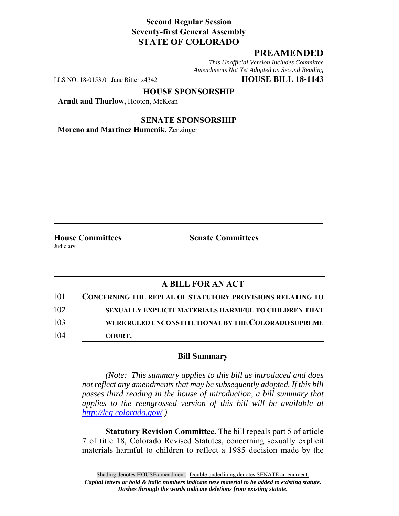## **Second Regular Session Seventy-first General Assembly STATE OF COLORADO**

## **PREAMENDED**

*This Unofficial Version Includes Committee Amendments Not Yet Adopted on Second Reading*

LLS NO. 18-0153.01 Jane Ritter x4342 **HOUSE BILL 18-1143**

**HOUSE SPONSORSHIP**

**Arndt and Thurlow,** Hooton, McKean

**SENATE SPONSORSHIP Moreno and Martinez Humenik,** Zenzinger

Judiciary

**House Committees Senate Committees**

## **A BILL FOR AN ACT**

| 101 | <b>CONCERNING THE REPEAL OF STATUTORY PROVISIONS RELATING TO</b> |
|-----|------------------------------------------------------------------|
| 102 | SEXUALLY EXPLICIT MATERIALS HARMFUL TO CHILDREN THAT             |
| 103 | WERE RULED UNCONSTITUTIONAL BY THE COLORADO SUPREME              |
| 104 | COURT.                                                           |

## **Bill Summary**

*(Note: This summary applies to this bill as introduced and does not reflect any amendments that may be subsequently adopted. If this bill passes third reading in the house of introduction, a bill summary that applies to the reengrossed version of this bill will be available at http://leg.colorado.gov/.)*

**Statutory Revision Committee.** The bill repeals part 5 of article 7 of title 18, Colorado Revised Statutes, concerning sexually explicit materials harmful to children to reflect a 1985 decision made by the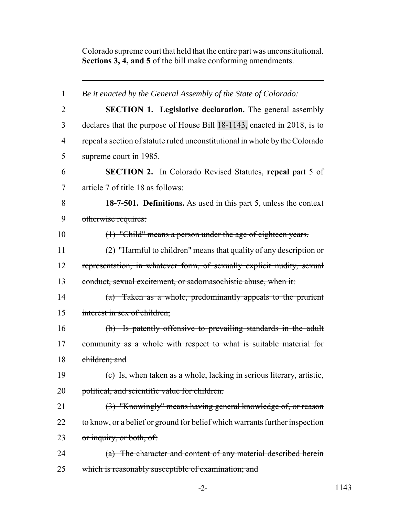Colorado supreme court that held that the entire part was unconstitutional. **Sections 3, 4, and 5** of the bill make conforming amendments.

| $\mathbf{1}$   | Be it enacted by the General Assembly of the State of Colorado:             |
|----------------|-----------------------------------------------------------------------------|
| $\overline{2}$ | <b>SECTION 1. Legislative declaration.</b> The general assembly             |
| 3              | declares that the purpose of House Bill 18-1143, enacted in 2018, is to     |
| $\overline{4}$ | repeal a section of statute ruled unconstitutional in whole by the Colorado |
| 5              | supreme court in 1985.                                                      |
| 6              | <b>SECTION 2.</b> In Colorado Revised Statutes, repeal part 5 of            |
| 7              | article 7 of title 18 as follows:                                           |
| 8              | 18-7-501. Definitions. As used in this part 5, unless the context           |
| 9              | otherwise requires:                                                         |
| 10             | $(1)$ "Child" means a person under the age of eighteen years.               |
| 11             | $(2)$ "Harmful to children" means that quality of any description or        |
| 12             | representation, in whatever form, of sexually explicit nudity, sexual       |
| 13             | conduct, sexual excitement, or sadomasochistic abuse, when it:              |
| 14             | (a) Taken as a whole, predominantly appeals to the prurient                 |
| 15             | interest in sex of children;                                                |
| 16             | (b) Is patently offensive to prevailing standards in the adult              |
| 17             | community as a whole with respect to what is suitable material for          |
| 18             | children; and                                                               |
| 19             | (c) Is, when taken as a whole, lacking in serious literary, artistic,       |
| 20             | political, and scientific value for children.                               |
| 21             | (3) "Knowingly" means having general knowledge of, or reason                |
| 22             | to know, or a belief or ground for belief which warrants further inspection |
| 23             | or inquiry, or both, of:                                                    |
| 24             | (a) The character and content of any material described herein              |
| 25             | which is reasonably susceptible of examination; and                         |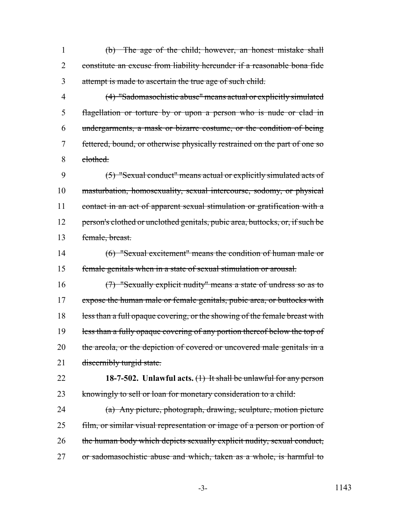(b) The age of the child; however, an honest mistake shall constitute an excuse from liability hereunder if a reasonable bona fide attempt is made to ascertain the true age of such child.

 (4) "Sadomasochistic abuse" means actual or explicitly simulated flagellation or torture by or upon a person who is nude or clad in undergarments, a mask or bizarre costume, or the condition of being 7 fettered, bound, or otherwise physically restrained on the part of one so clothed.

 (5) "Sexual conduct" means actual or explicitly simulated acts of masturbation, homosexuality, sexual intercourse, sodomy, or physical 11 contact in an act of apparent sexual stimulation or gratification with a 12 person's clothed or unclothed genitals, pubic area, buttocks, or, if such be female, breast.

 (6) "Sexual excitement" means the condition of human male or female genitals when in a state of sexual stimulation or arousal.

 (7) "Sexually explicit nudity" means a state of undress so as to 17 expose the human male or female genitals, pubic area, or buttocks with 18 less than a full opaque covering, or the showing of the female breast with 19 less than a fully opaque covering of any portion thereof below the top of 20 the areola, or the depiction of covered or uncovered male genitals in a 21 discernibly turgid state.

 **18-7-502. Unlawful acts.** (1) It shall be unlawful for any person 23 knowingly to sell or loan for monetary consideration to a child:

 (a) Any picture, photograph, drawing, sculpture, motion picture 25 film, or similar visual representation or image of a person or portion of the human body which depicts sexually explicit nudity, sexual conduct, or sadomasochistic abuse and which, taken as a whole, is harmful to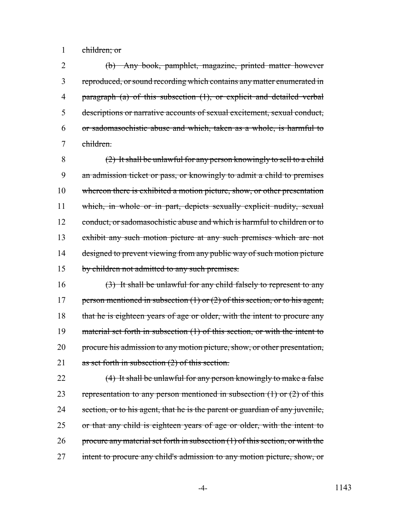1 children; or

 (b) Any book, pamphlet, magazine, printed matter however reproduced, or sound recording which contains any matter enumerated in paragraph (a) of this subsection (1), or explicit and detailed verbal descriptions or narrative accounts of sexual excitement, sexual conduct, or sadomasochistic abuse and which, taken as a whole, is harmful to children.

8 (2) It shall be unlawful for any person knowingly to sell to a child 9 an admission ticket or pass, or knowingly to admit a child to premises 10 whereon there is exhibited a motion picture, show, or other presentation 11 which, in whole or in part, depicts sexually explicit nudity, sexual 12 conduct, or sadomasochistic abuse and which is harmful to children or to 13 exhibit any such motion picture at any such premises which are not 14 designed to prevent viewing from any public way of such motion picture 15 by children not admitted to any such premises.

16  $(3)$  It shall be unlawful for any child falsely to represent to any 17 person mentioned in subsection (1) or (2) of this section, or to his agent, 18 that he is eighteen years of age or older, with the intent to procure any 19 material set forth in subsection (1) of this section, or with the intent to 20 procure his admission to any motion picture, show, or other presentation, 21 as set forth in subsection (2) of this section.

22 (4) It shall be unlawful for any person knowingly to make a false 23 representation to any person mentioned in subsection  $(1)$  or  $(2)$  of this 24 section, or to his agent, that he is the parent or guardian of any juvenile, 25 or that any child is eighteen years of age or older, with the intent to 26 procure any material set forth in subsection  $(1)$  of this section, or with the 27 intent to procure any child's admission to any motion picture, show, or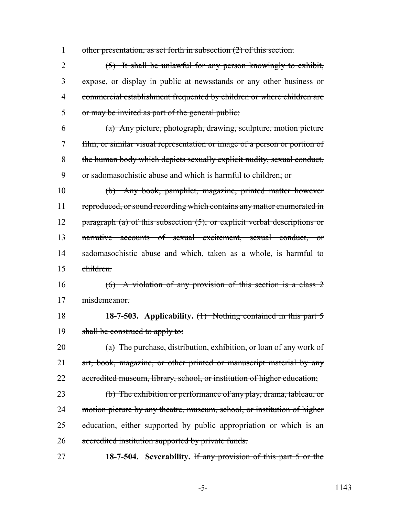1 other presentation, as set forth in subsection (2) of this section.

 (5) It shall be unlawful for any person knowingly to exhibit, expose, or display in public at newsstands or any other business or commercial establishment frequented by children or where children are or may be invited as part of the general public:

 (a) Any picture, photograph, drawing, sculpture, motion picture film, or similar visual representation or image of a person or portion of the human body which depicts sexually explicit nudity, sexual conduct, or sadomasochistic abuse and which is harmful to children; or

10 (b) Any book, pamphlet, magazine, printed matter however 11 reproduced, or sound recording which contains any matter enumerated in 12 paragraph (a) of this subsection (5), or explicit verbal descriptions or 13 narrative accounts of sexual excitement, sexual conduct, or 14 sadomasochistic abuse and which, taken as a whole, is harmful to 15 children.

16 (6) A violation of any provision of this section is a class 2 17 misdemeanor.

18 **18-7-503. Applicability.** (1) Nothing contained in this part 5 19 shall be construed to apply to:

20 (a) The purchase, distribution, exhibition, or loan of any work of 21 art, book, magazine, or other printed or manuscript material by any 22 accredited museum, library, school, or institution of higher education;

23 (b) The exhibition or performance of any play, drama, tableau, or 24 motion picture by any theatre, museum, school, or institution of higher 25 education, either supported by public appropriation or which is an 26 accredited institution supported by private funds.

27 **18-7-504. Severability.** If any provision of this part 5 or the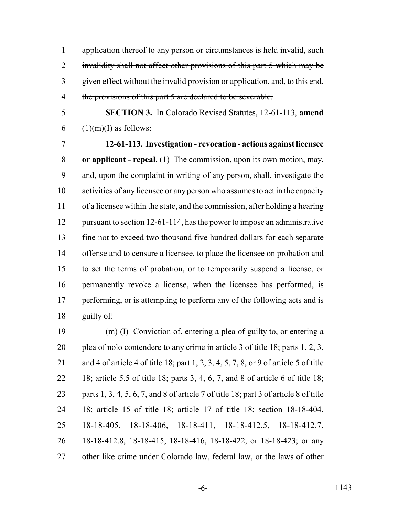1 application thereof to any person or circumstances is held invalid, such 2 invalidity shall not affect other provisions of this part 5 which may be given effect without the invalid provision or application, and, to this end, 4 the provisions of this part 5 are declared to be severable.

 **SECTION 3.** In Colorado Revised Statutes, 12-61-113, **amend** 6 (1)(m)(I) as follows:

 **12-61-113. Investigation - revocation - actions against licensee or applicant - repeal.** (1) The commission, upon its own motion, may, and, upon the complaint in writing of any person, shall, investigate the activities of any licensee or any person who assumes to act in the capacity of a licensee within the state, and the commission, after holding a hearing 12 pursuant to section 12-61-114, has the power to impose an administrative fine not to exceed two thousand five hundred dollars for each separate offense and to censure a licensee, to place the licensee on probation and to set the terms of probation, or to temporarily suspend a license, or permanently revoke a license, when the licensee has performed, is 17 performing, or is attempting to perform any of the following acts and is guilty of:

 (m) (I) Conviction of, entering a plea of guilty to, or entering a plea of nolo contendere to any crime in article 3 of title 18; parts 1, 2, 3, and 4 of article 4 of title 18; part 1, 2, 3, 4, 5, 7, 8, or 9 of article 5 of title 18; article 5.5 of title 18; parts 3, 4, 6, 7, and 8 of article 6 of title 18; 23 parts 1, 3, 4,  $\frac{1}{2}$ , 6, 7, and 8 of article 7 of title 18; part 3 of article 8 of title 18; article 15 of title 18; article 17 of title 18; section 18-18-404, 18-18-405, 18-18-406, 18-18-411, 18-18-412.5, 18-18-412.7, 18-18-412.8, 18-18-415, 18-18-416, 18-18-422, or 18-18-423; or any other like crime under Colorado law, federal law, or the laws of other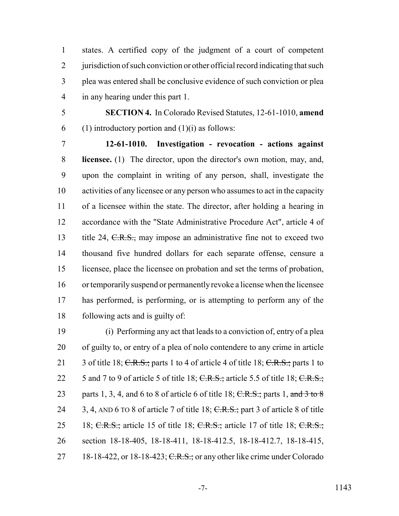states. A certified copy of the judgment of a court of competent 2 jurisdiction of such conviction or other official record indicating that such plea was entered shall be conclusive evidence of such conviction or plea in any hearing under this part 1.

 **SECTION 4.** In Colorado Revised Statutes, 12-61-1010, **amend** 6 (1) introductory portion and  $(1)(i)$  as follows:

 **12-61-1010. Investigation - revocation - actions against licensee.** (1) The director, upon the director's own motion, may, and, upon the complaint in writing of any person, shall, investigate the activities of any licensee or any person who assumes to act in the capacity of a licensee within the state. The director, after holding a hearing in accordance with the "State Administrative Procedure Act", article 4 of 13 title 24, C.R.S., may impose an administrative fine not to exceed two thousand five hundred dollars for each separate offense, censure a licensee, place the licensee on probation and set the terms of probation, or temporarily suspend or permanently revoke a license when the licensee has performed, is performing, or is attempting to perform any of the following acts and is guilty of:

 (i) Performing any act that leads to a conviction of, entry of a plea of guilty to, or entry of a plea of nolo contendere to any crime in article 21 3 of title 18; C.R.S.; parts 1 to 4 of article 4 of title 18; C.R.S.; parts 1 to 22 5 and 7 to 9 of article 5 of title 18;  $C.R.S.:$  article 5.5 of title 18;  $C.R.S.:$ 23 parts 1, 3, 4, and 6 to 8 of article 6 of title 18;  $C.R.S.;$  parts 1, and 3 to 8 24 3, 4, AND 6 TO 8 of article 7 of title 18;  $C.R.S.:$  part 3 of article 8 of title 25 18; C.R.S.; article 15 of title 18; C.R.S.; article 17 of title 18; C.R.S.; section 18-18-405, 18-18-411, 18-18-412.5, 18-18-412.7, 18-18-415, 27 18-18-422, or 18-18-423;  $C.R.S.:$  or any other like crime under Colorado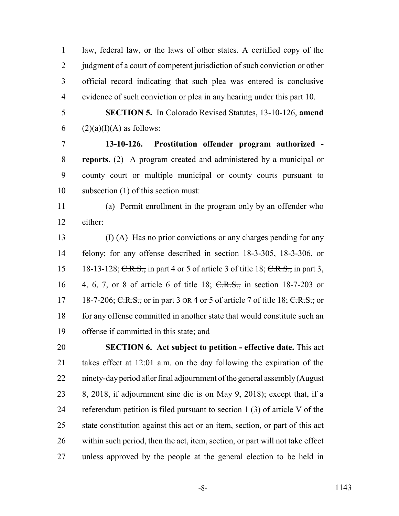law, federal law, or the laws of other states. A certified copy of the 2 judgment of a court of competent jurisdiction of such conviction or other official record indicating that such plea was entered is conclusive evidence of such conviction or plea in any hearing under this part 10.

 **SECTION 5.** In Colorado Revised Statutes, 13-10-126, **amend** 6 (2)(a)(I)(A) as follows:

 **13-10-126. Prostitution offender program authorized - reports.** (2) A program created and administered by a municipal or county court or multiple municipal or county courts pursuant to subsection (1) of this section must:

 (a) Permit enrollment in the program only by an offender who either:

 (I) (A) Has no prior convictions or any charges pending for any felony; for any offense described in section 18-3-305, 18-3-306, or 15 18-13-128; C.R.S., in part 4 or 5 of article 3 of title 18; C.R.S., in part 3, 4, 6, 7, or 8 of article 6 of title 18; C.R.S., in section 18-7-203 or 17 18-7-206; C.R.S., or in part 3 or  $4 \text{ or } 5$  of article 7 of title 18; C.R.S.; or for any offense committed in another state that would constitute such an offense if committed in this state; and

 **SECTION 6. Act subject to petition - effective date.** This act takes effect at 12:01 a.m. on the day following the expiration of the ninety-day period after final adjournment of the general assembly (August 8, 2018, if adjournment sine die is on May 9, 2018); except that, if a referendum petition is filed pursuant to section 1 (3) of article V of the state constitution against this act or an item, section, or part of this act within such period, then the act, item, section, or part will not take effect unless approved by the people at the general election to be held in